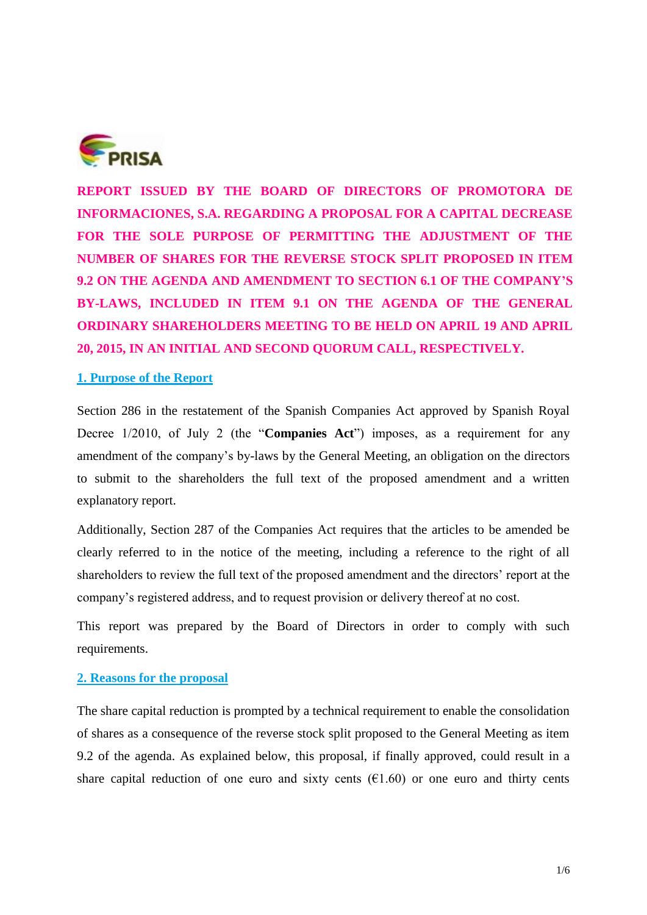

**REPORT ISSUED BY THE BOARD OF DIRECTORS OF PROMOTORA DE INFORMACIONES, S.A. REGARDING A PROPOSAL FOR A CAPITAL DECREASE FOR THE SOLE PURPOSE OF PERMITTING THE ADJUSTMENT OF THE NUMBER OF SHARES FOR THE REVERSE STOCK SPLIT PROPOSED IN ITEM 9.2 ON THE AGENDA AND AMENDMENT TO SECTION 6.1 OF THE COMPANY'S BY-LAWS, INCLUDED IN ITEM 9.1 ON THE AGENDA OF THE GENERAL ORDINARY SHAREHOLDERS MEETING TO BE HELD ON APRIL 19 AND APRIL 20, 2015, IN AN INITIAL AND SECOND QUORUM CALL, RESPECTIVELY.** 

## **1. Purpose of the Report**

Section 286 in the restatement of the Spanish Companies Act approved by Spanish Royal Decree 1/2010, of July 2 (the "**Companies Act**") imposes, as a requirement for any amendment of the company's by-laws by the General Meeting, an obligation on the directors to submit to the shareholders the full text of the proposed amendment and a written explanatory report.

Additionally, Section 287 of the Companies Act requires that the articles to be amended be clearly referred to in the notice of the meeting, including a reference to the right of all shareholders to review the full text of the proposed amendment and the directors' report at the company's registered address, and to request provision or delivery thereof at no cost.

This report was prepared by the Board of Directors in order to comply with such requirements.

## **2. Reasons for the proposal**

The share capital reduction is prompted by a technical requirement to enable the consolidation of shares as a consequence of the reverse stock split proposed to the General Meeting as item 9.2 of the agenda. As explained below, this proposal, if finally approved, could result in a share capital reduction of one euro and sixty cents  $(61.60)$  or one euro and thirty cents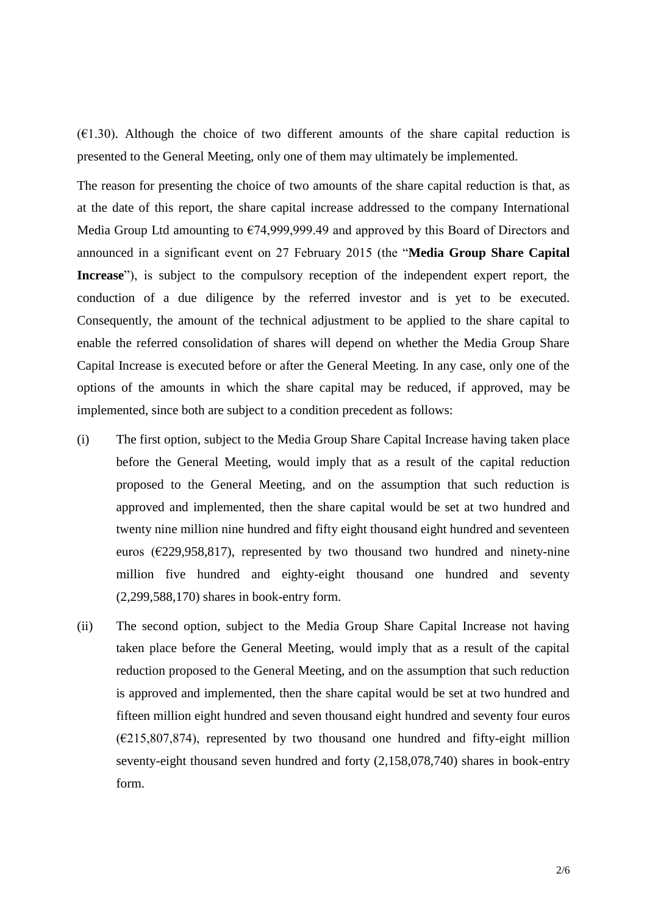$(E1.30)$ . Although the choice of two different amounts of the share capital reduction is presented to the General Meeting, only one of them may ultimately be implemented.

The reason for presenting the choice of two amounts of the share capital reduction is that, as at the date of this report, the share capital increase addressed to the company International Media Group Ltd amounting to €74,999,999.49 and approved by this Board of Directors and announced in a significant event on 27 February 2015 (the "**Media Group Share Capital Increase**"), is subject to the compulsory reception of the independent expert report, the conduction of a due diligence by the referred investor and is yet to be executed. Consequently, the amount of the technical adjustment to be applied to the share capital to enable the referred consolidation of shares will depend on whether the Media Group Share Capital Increase is executed before or after the General Meeting. In any case, only one of the options of the amounts in which the share capital may be reduced, if approved, may be implemented, since both are subject to a condition precedent as follows:

- (i) The first option, subject to the Media Group Share Capital Increase having taken place before the General Meeting, would imply that as a result of the capital reduction proposed to the General Meeting, and on the assumption that such reduction is approved and implemented, then the share capital would be set at two hundred and twenty nine million nine hundred and fifty eight thousand eight hundred and seventeen euros ( $\epsilon$ 229,958,817), represented by two thousand two hundred and ninety-nine million five hundred and eighty-eight thousand one hundred and seventy (2,299,588,170) shares in book-entry form.
- (ii) The second option, subject to the Media Group Share Capital Increase not having taken place before the General Meeting, would imply that as a result of the capital reduction proposed to the General Meeting, and on the assumption that such reduction is approved and implemented, then the share capital would be set at two hundred and fifteen million eight hundred and seven thousand eight hundred and seventy four euros  $(E215,807,874)$ , represented by two thousand one hundred and fifty-eight million seventy-eight thousand seven hundred and forty (2,158,078,740) shares in book-entry form.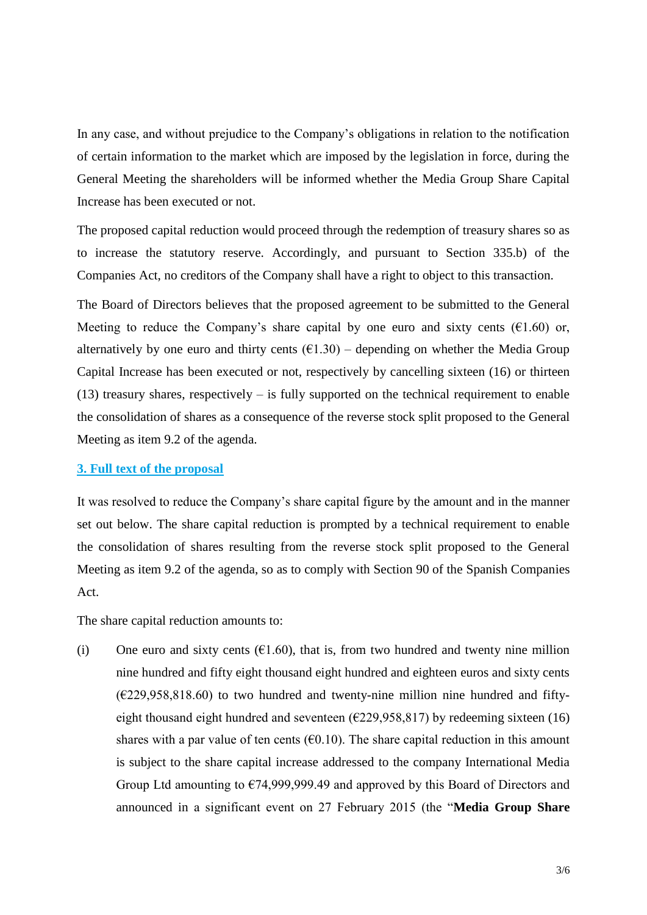In any case, and without prejudice to the Company's obligations in relation to the notification of certain information to the market which are imposed by the legislation in force, during the General Meeting the shareholders will be informed whether the Media Group Share Capital Increase has been executed or not.

The proposed capital reduction would proceed through the redemption of treasury shares so as to increase the statutory reserve. Accordingly, and pursuant to Section 335.b) of the Companies Act, no creditors of the Company shall have a right to object to this transaction.

The Board of Directors believes that the proposed agreement to be submitted to the General Meeting to reduce the Company's share capital by one euro and sixty cents ( $E1.60$ ) or, alternatively by one euro and thirty cents  $(61.30)$  – depending on whether the Media Group Capital Increase has been executed or not, respectively by cancelling sixteen (16) or thirteen  $(13)$  treasury shares, respectively – is fully supported on the technical requirement to enable the consolidation of shares as a consequence of the reverse stock split proposed to the General Meeting as item 9.2 of the agenda.

## **3. Full text of the proposal**

It was resolved to reduce the Company's share capital figure by the amount and in the manner set out below. The share capital reduction is prompted by a technical requirement to enable the consolidation of shares resulting from the reverse stock split proposed to the General Meeting as item 9.2 of the agenda, so as to comply with Section 90 of the Spanish Companies Act.

The share capital reduction amounts to:

(i) One euro and sixty cents  $(61.60)$ , that is, from two hundred and twenty nine million nine hundred and fifty eight thousand eight hundred and eighteen euros and sixty cents  $(\text{\textsterling}229,958,818.60)$  to two hundred and twenty-nine million nine hundred and fiftyeight thousand eight hundred and seventeen ( $\epsilon$ 229,958,817) by redeeming sixteen (16) shares with a par value of ten cents ( $\epsilon$ 0.10). The share capital reduction in this amount is subject to the share capital increase addressed to the company International Media Group Ltd amounting to €74,999,999.49 and approved by this Board of Directors and announced in a significant event on 27 February 2015 (the "**Media Group Share**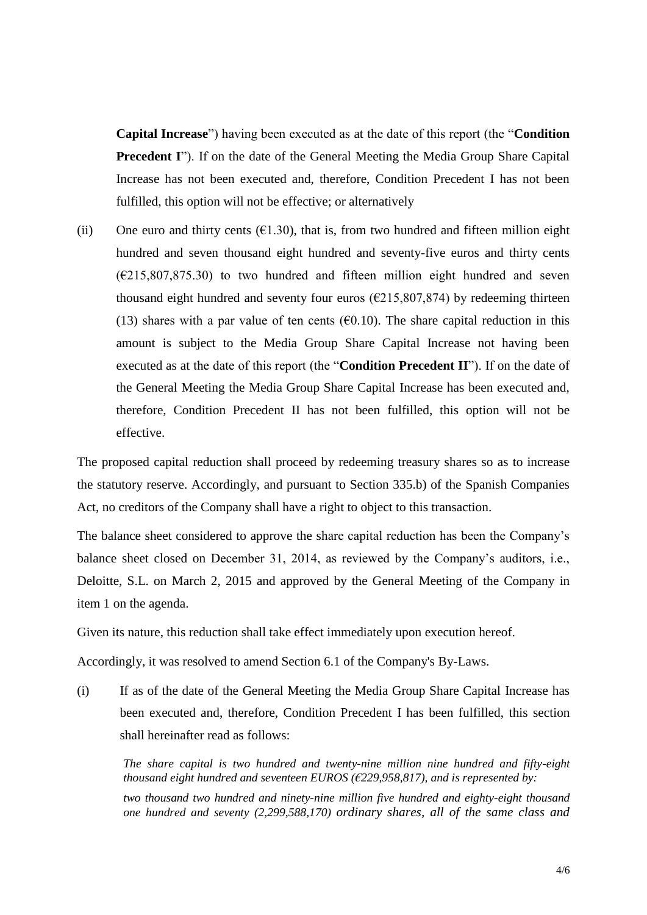**Capital Increase**") having been executed as at the date of this report (the "**Condition Precedent I**"). If on the date of the General Meeting the Media Group Share Capital Increase has not been executed and, therefore, Condition Precedent I has not been fulfilled, this option will not be effective; or alternatively

(ii) One euro and thirty cents  $(61.30)$ , that is, from two hundred and fifteen million eight hundred and seven thousand eight hundred and seventy-five euros and thirty cents  $(\text{\textsterling}215,\!807,\!875.30)$  to two hundred and fifteen million eight hundred and seven thousand eight hundred and seventy four euros ( $\epsilon$ 215,807,874) by redeeming thirteen (13) shares with a par value of ten cents ( $\epsilon$ 0.10). The share capital reduction in this amount is subject to the Media Group Share Capital Increase not having been executed as at the date of this report (the "**Condition Precedent II**"). If on the date of the General Meeting the Media Group Share Capital Increase has been executed and, therefore, Condition Precedent II has not been fulfilled, this option will not be effective.

The proposed capital reduction shall proceed by redeeming treasury shares so as to increase the statutory reserve. Accordingly, and pursuant to Section 335.b) of the Spanish Companies Act, no creditors of the Company shall have a right to object to this transaction.

The balance sheet considered to approve the share capital reduction has been the Company's balance sheet closed on December 31, 2014, as reviewed by the Company's auditors, i.e., Deloitte, S.L. on March 2, 2015 and approved by the General Meeting of the Company in item 1 on the agenda.

Given its nature, this reduction shall take effect immediately upon execution hereof.

Accordingly, it was resolved to amend Section 6.1 of the Company's By-Laws.

(i) If as of the date of the General Meeting the Media Group Share Capital Increase has been executed and, therefore, Condition Precedent I has been fulfilled, this section shall hereinafter read as follows:

*The share capital is two hundred and twenty-nine million nine hundred and fifty-eight thousand eight hundred and seventeen EUROS (€229,958,817), and is represented by: two thousand two hundred and ninety-nine million five hundred and eighty-eight thousand one hundred and seventy (2,299,588,170) ordinary shares, all of the same class and*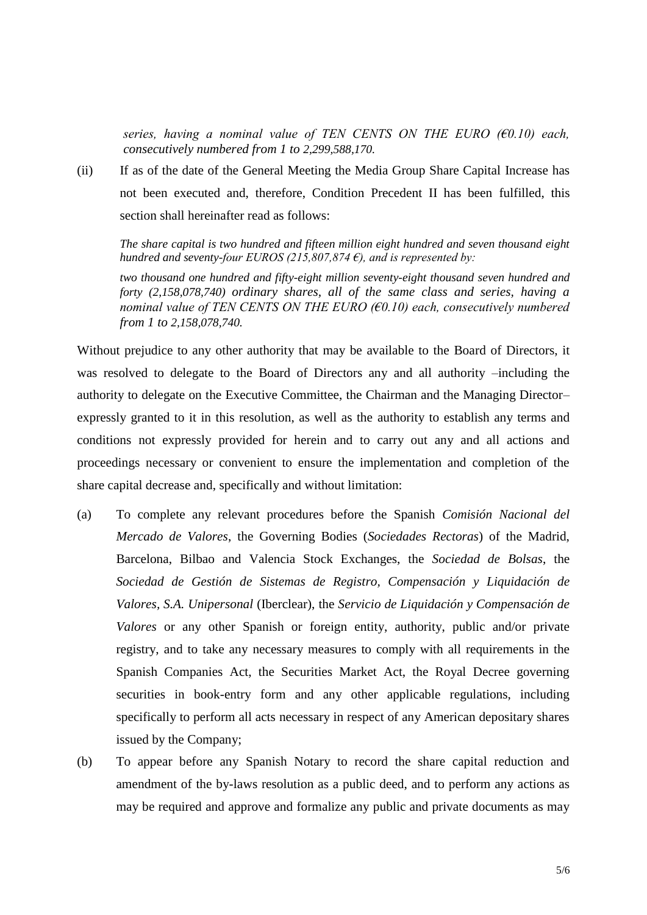*series, having a nominal value of TEN CENTS ON THE EURO (€0.10) each, consecutively numbered from 1 to 2,299,588,170.*

(ii) If as of the date of the General Meeting the Media Group Share Capital Increase has not been executed and, therefore, Condition Precedent II has been fulfilled, this section shall hereinafter read as follows:

*The share capital is two hundred and fifteen million eight hundred and seven thousand eight hundred and seventy-four EUROS (215,807,874 €), and is represented by:*

*two thousand one hundred and fifty-eight million seventy-eight thousand seven hundred and forty (2,158,078,740) ordinary shares, all of the same class and series, having a nominal value of TEN CENTS ON THE EURO (€0.10) each, consecutively numbered from 1 to 2,158,078,740.* 

Without prejudice to any other authority that may be available to the Board of Directors, it was resolved to delegate to the Board of Directors any and all authority –including the authority to delegate on the Executive Committee, the Chairman and the Managing Director– expressly granted to it in this resolution, as well as the authority to establish any terms and conditions not expressly provided for herein and to carry out any and all actions and proceedings necessary or convenient to ensure the implementation and completion of the share capital decrease and, specifically and without limitation:

- (a) To complete any relevant procedures before the Spanish *Comisión Nacional del Mercado de Valores*, the Governing Bodies (*Sociedades Rectoras*) of the Madrid, Barcelona, Bilbao and Valencia Stock Exchanges, the *Sociedad de Bolsas*, the *Sociedad de Gestión de Sistemas de Registro, Compensación y Liquidación de Valores, S.A. Unipersonal* (Iberclear), the *Servicio de Liquidación y Compensación de Valores* or any other Spanish or foreign entity, authority, public and/or private registry, and to take any necessary measures to comply with all requirements in the Spanish Companies Act, the Securities Market Act, the Royal Decree governing securities in book-entry form and any other applicable regulations, including specifically to perform all acts necessary in respect of any American depositary shares issued by the Company;
- (b) To appear before any Spanish Notary to record the share capital reduction and amendment of the by-laws resolution as a public deed, and to perform any actions as may be required and approve and formalize any public and private documents as may